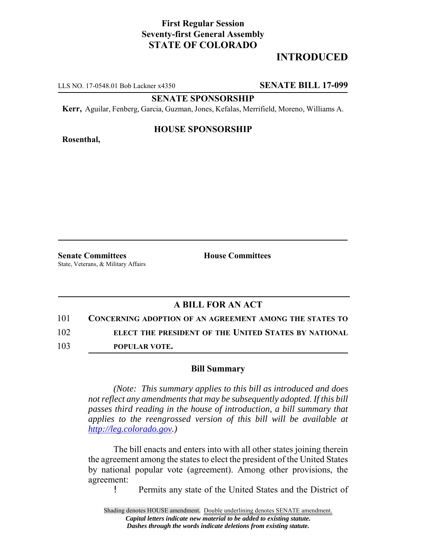## **First Regular Session Seventy-first General Assembly STATE OF COLORADO**

# **INTRODUCED**

LLS NO. 17-0548.01 Bob Lackner x4350 **SENATE BILL 17-099**

**SENATE SPONSORSHIP**

**Kerr,** Aguilar, Fenberg, Garcia, Guzman, Jones, Kefalas, Merrifield, Moreno, Williams A.

**Rosenthal,**

### **HOUSE SPONSORSHIP**

**Senate Committees House Committees** State, Veterans, & Military Affairs

## **A BILL FOR AN ACT**

101 **CONCERNING ADOPTION OF AN AGREEMENT AMONG THE STATES TO**

102 **ELECT THE PRESIDENT OF THE UNITED STATES BY NATIONAL**

103 **POPULAR VOTE.**

### **Bill Summary**

*(Note: This summary applies to this bill as introduced and does not reflect any amendments that may be subsequently adopted. If this bill passes third reading in the house of introduction, a bill summary that applies to the reengrossed version of this bill will be available at http://leg.colorado.gov.)*

The bill enacts and enters into with all other states joining therein the agreement among the states to elect the president of the United States by national popular vote (agreement). Among other provisions, the agreement:

! Permits any state of the United States and the District of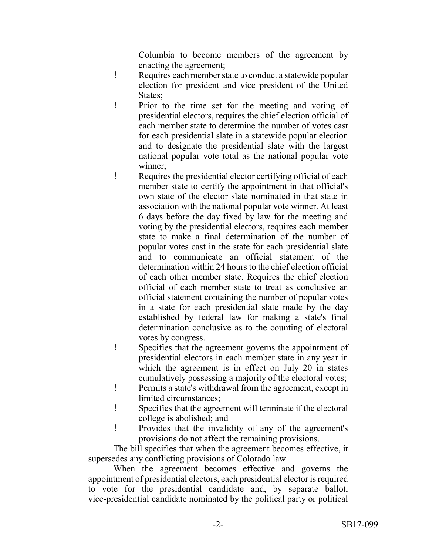Columbia to become members of the agreement by enacting the agreement;

- ! Requires each member state to conduct a statewide popular election for president and vice president of the United States;
- ! Prior to the time set for the meeting and voting of presidential electors, requires the chief election official of each member state to determine the number of votes cast for each presidential slate in a statewide popular election and to designate the presidential slate with the largest national popular vote total as the national popular vote winner;
- ! Requires the presidential elector certifying official of each member state to certify the appointment in that official's own state of the elector slate nominated in that state in association with the national popular vote winner. At least 6 days before the day fixed by law for the meeting and voting by the presidential electors, requires each member state to make a final determination of the number of popular votes cast in the state for each presidential slate and to communicate an official statement of the determination within 24 hours to the chief election official of each other member state. Requires the chief election official of each member state to treat as conclusive an official statement containing the number of popular votes in a state for each presidential slate made by the day established by federal law for making a state's final determination conclusive as to the counting of electoral votes by congress.
- ! Specifies that the agreement governs the appointment of presidential electors in each member state in any year in which the agreement is in effect on July 20 in states cumulatively possessing a majority of the electoral votes;
- ! Permits a state's withdrawal from the agreement, except in limited circumstances;
- ! Specifies that the agreement will terminate if the electoral college is abolished; and
- ! Provides that the invalidity of any of the agreement's provisions do not affect the remaining provisions.

The bill specifies that when the agreement becomes effective, it supersedes any conflicting provisions of Colorado law.

When the agreement becomes effective and governs the appointment of presidential electors, each presidential elector is required to vote for the presidential candidate and, by separate ballot, vice-presidential candidate nominated by the political party or political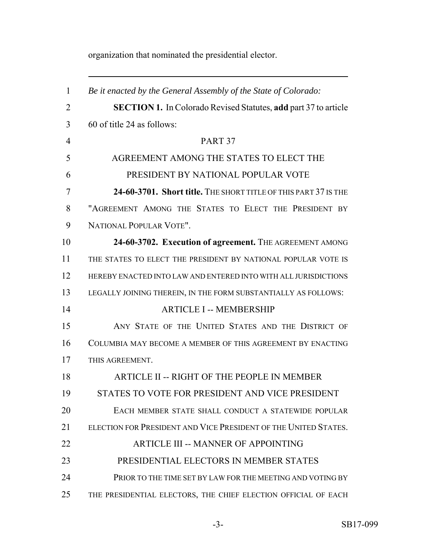organization that nominated the presidential elector.

| $\mathbf{1}$   | Be it enacted by the General Assembly of the State of Colorado:        |
|----------------|------------------------------------------------------------------------|
| $\overline{2}$ | <b>SECTION 1.</b> In Colorado Revised Statutes, add part 37 to article |
| 3              | 60 of title 24 as follows:                                             |
| $\overline{4}$ | PART <sub>37</sub>                                                     |
| 5              | AGREEMENT AMONG THE STATES TO ELECT THE                                |
| 6              | PRESIDENT BY NATIONAL POPULAR VOTE                                     |
| 7              | 24-60-3701. Short title. THE SHORT TITLE OF THIS PART 37 IS THE        |
| 8              | "AGREEMENT AMONG THE STATES TO ELECT THE PRESIDENT BY                  |
| 9              | NATIONAL POPULAR VOTE".                                                |
| 10             | 24-60-3702. Execution of agreement. THE AGREEMENT AMONG                |
| 11             | THE STATES TO ELECT THE PRESIDENT BY NATIONAL POPULAR VOTE IS          |
| 12             | HEREBY ENACTED INTO LAW AND ENTERED INTO WITH ALL JURISDICTIONS        |
| 13             | LEGALLY JOINING THEREIN, IN THE FORM SUBSTANTIALLY AS FOLLOWS:         |
| 14             | <b>ARTICLE I -- MEMBERSHIP</b>                                         |
| 15             | ANY STATE OF THE UNITED STATES AND THE DISTRICT OF                     |
| 16             | COLUMBIA MAY BECOME A MEMBER OF THIS AGREEMENT BY ENACTING             |
| 17             | THIS AGREEMENT.                                                        |
| 18             | ARTICLE II -- RIGHT OF THE PEOPLE IN MEMBER                            |
| 19             | STATES TO VOTE FOR PRESIDENT AND VICE PRESIDENT                        |
| 20             | EACH MEMBER STATE SHALL CONDUCT A STATEWIDE POPULAR                    |
| 21             | ELECTION FOR PRESIDENT AND VICE PRESIDENT OF THE UNITED STATES.        |
| 22             | <b>ARTICLE III -- MANNER OF APPOINTING</b>                             |
| 23             | PRESIDENTIAL ELECTORS IN MEMBER STATES                                 |
| 24             | PRIOR TO THE TIME SET BY LAW FOR THE MEETING AND VOTING BY             |
| 25             | THE PRESIDENTIAL ELECTORS, THE CHIEF ELECTION OFFICIAL OF EACH         |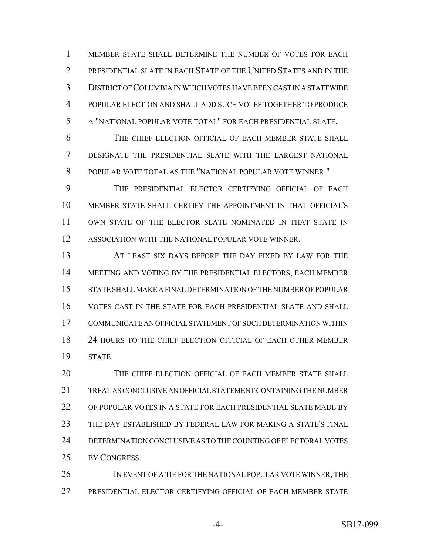MEMBER STATE SHALL DETERMINE THE NUMBER OF VOTES FOR EACH PRESIDENTIAL SLATE IN EACH STATE OF THE UNITED STATES AND IN THE DISTRICT OF COLUMBIA IN WHICH VOTES HAVE BEEN CAST IN A STATEWIDE POPULAR ELECTION AND SHALL ADD SUCH VOTES TOGETHER TO PRODUCE A "NATIONAL POPULAR VOTE TOTAL" FOR EACH PRESIDENTIAL SLATE.

 THE CHIEF ELECTION OFFICIAL OF EACH MEMBER STATE SHALL DESIGNATE THE PRESIDENTIAL SLATE WITH THE LARGEST NATIONAL POPULAR VOTE TOTAL AS THE "NATIONAL POPULAR VOTE WINNER."

 THE PRESIDENTIAL ELECTOR CERTIFYING OFFICIAL OF EACH MEMBER STATE SHALL CERTIFY THE APPOINTMENT IN THAT OFFICIAL'S OWN STATE OF THE ELECTOR SLATE NOMINATED IN THAT STATE IN ASSOCIATION WITH THE NATIONAL POPULAR VOTE WINNER.

 AT LEAST SIX DAYS BEFORE THE DAY FIXED BY LAW FOR THE MEETING AND VOTING BY THE PRESIDENTIAL ELECTORS, EACH MEMBER STATE SHALL MAKE A FINAL DETERMINATION OF THE NUMBER OF POPULAR VOTES CAST IN THE STATE FOR EACH PRESIDENTIAL SLATE AND SHALL COMMUNICATE AN OFFICIAL STATEMENT OF SUCH DETERMINATION WITHIN 24 HOURS TO THE CHIEF ELECTION OFFICIAL OF EACH OTHER MEMBER STATE.

 THE CHIEF ELECTION OFFICIAL OF EACH MEMBER STATE SHALL TREAT AS CONCLUSIVE AN OFFICIAL STATEMENT CONTAINING THE NUMBER OF POPULAR VOTES IN A STATE FOR EACH PRESIDENTIAL SLATE MADE BY THE DAY ESTABLISHED BY FEDERAL LAW FOR MAKING A STATE'S FINAL DETERMINATION CONCLUSIVE AS TO THE COUNTING OF ELECTORAL VOTES BY CONGRESS.

26 IN EVENT OF A TIE FOR THE NATIONAL POPULAR VOTE WINNER, THE PRESIDENTIAL ELECTOR CERTIFYING OFFICIAL OF EACH MEMBER STATE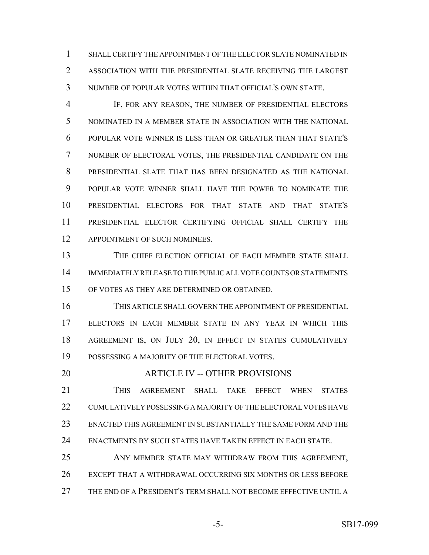SHALL CERTIFY THE APPOINTMENT OF THE ELECTOR SLATE NOMINATED IN ASSOCIATION WITH THE PRESIDENTIAL SLATE RECEIVING THE LARGEST NUMBER OF POPULAR VOTES WITHIN THAT OFFICIAL'S OWN STATE.

 IF, FOR ANY REASON, THE NUMBER OF PRESIDENTIAL ELECTORS NOMINATED IN A MEMBER STATE IN ASSOCIATION WITH THE NATIONAL POPULAR VOTE WINNER IS LESS THAN OR GREATER THAN THAT STATE'S NUMBER OF ELECTORAL VOTES, THE PRESIDENTIAL CANDIDATE ON THE PRESIDENTIAL SLATE THAT HAS BEEN DESIGNATED AS THE NATIONAL POPULAR VOTE WINNER SHALL HAVE THE POWER TO NOMINATE THE PRESIDENTIAL ELECTORS FOR THAT STATE AND THAT STATE'S PRESIDENTIAL ELECTOR CERTIFYING OFFICIAL SHALL CERTIFY THE 12 APPOINTMENT OF SUCH NOMINEES.

13 THE CHIEF ELECTION OFFICIAL OF EACH MEMBER STATE SHALL IMMEDIATELY RELEASE TO THE PUBLIC ALL VOTE COUNTS OR STATEMENTS OF VOTES AS THEY ARE DETERMINED OR OBTAINED.

 THIS ARTICLE SHALL GOVERN THE APPOINTMENT OF PRESIDENTIAL ELECTORS IN EACH MEMBER STATE IN ANY YEAR IN WHICH THIS 18 AGREEMENT IS, ON JULY 20, IN EFFECT IN STATES CUMULATIVELY POSSESSING A MAJORITY OF THE ELECTORAL VOTES.

### ARTICLE IV -- OTHER PROVISIONS

 THIS AGREEMENT SHALL TAKE EFFECT WHEN STATES CUMULATIVELY POSSESSING A MAJORITY OF THE ELECTORAL VOTES HAVE ENACTED THIS AGREEMENT IN SUBSTANTIALLY THE SAME FORM AND THE ENACTMENTS BY SUCH STATES HAVE TAKEN EFFECT IN EACH STATE.

 ANY MEMBER STATE MAY WITHDRAW FROM THIS AGREEMENT, EXCEPT THAT A WITHDRAWAL OCCURRING SIX MONTHS OR LESS BEFORE THE END OF A PRESIDENT'S TERM SHALL NOT BECOME EFFECTIVE UNTIL A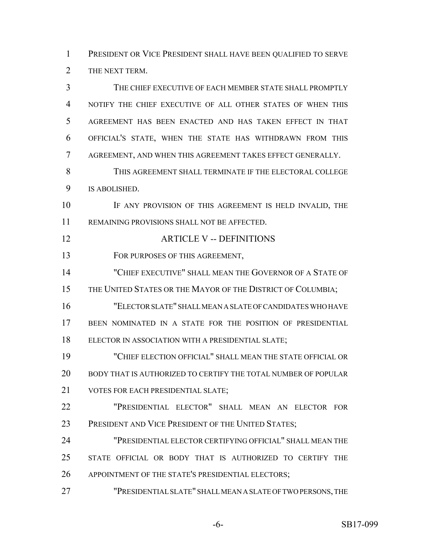PRESIDENT OR VICE PRESIDENT SHALL HAVE BEEN QUALIFIED TO SERVE THE NEXT TERM.

 THE CHIEF EXECUTIVE OF EACH MEMBER STATE SHALL PROMPTLY NOTIFY THE CHIEF EXECUTIVE OF ALL OTHER STATES OF WHEN THIS AGREEMENT HAS BEEN ENACTED AND HAS TAKEN EFFECT IN THAT OFFICIAL'S STATE, WHEN THE STATE HAS WITHDRAWN FROM THIS AGREEMENT, AND WHEN THIS AGREEMENT TAKES EFFECT GENERALLY. THIS AGREEMENT SHALL TERMINATE IF THE ELECTORAL COLLEGE IS ABOLISHED. IF ANY PROVISION OF THIS AGREEMENT IS HELD INVALID, THE REMAINING PROVISIONS SHALL NOT BE AFFECTED. ARTICLE V -- DEFINITIONS 13 FOR PURPOSES OF THIS AGREEMENT, "CHIEF EXECUTIVE" SHALL MEAN THE GOVERNOR OF A STATE OF 15 THE UNITED STATES OR THE MAYOR OF THE DISTRICT OF COLUMBIA; "ELECTOR SLATE" SHALL MEAN A SLATE OF CANDIDATES WHO HAVE BEEN NOMINATED IN A STATE FOR THE POSITION OF PRESIDENTIAL ELECTOR IN ASSOCIATION WITH A PRESIDENTIAL SLATE; "CHIEF ELECTION OFFICIAL" SHALL MEAN THE STATE OFFICIAL OR BODY THAT IS AUTHORIZED TO CERTIFY THE TOTAL NUMBER OF POPULAR 21 VOTES FOR EACH PRESIDENTIAL SLATE: "PRESIDENTIAL ELECTOR" SHALL MEAN AN ELECTOR FOR 23 PRESIDENT AND VICE PRESIDENT OF THE UNITED STATES; "PRESIDENTIAL ELECTOR CERTIFYING OFFICIAL" SHALL MEAN THE STATE OFFICIAL OR BODY THAT IS AUTHORIZED TO CERTIFY THE 26 APPOINTMENT OF THE STATE'S PRESIDENTIAL ELECTORS; "PRESIDENTIAL SLATE" SHALL MEAN A SLATE OF TWO PERSONS, THE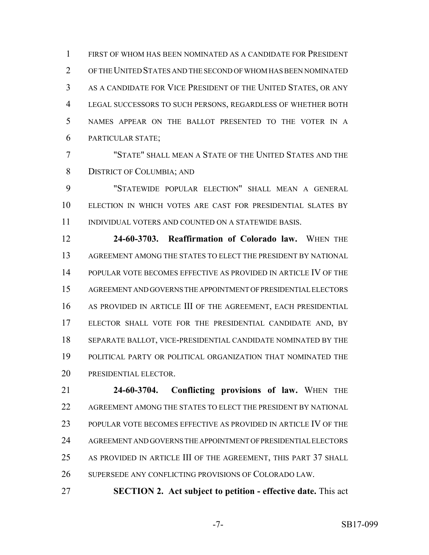FIRST OF WHOM HAS BEEN NOMINATED AS A CANDIDATE FOR PRESIDENT OF THE UNITED STATES AND THE SECOND OF WHOM HAS BEEN NOMINATED AS A CANDIDATE FOR VICE PRESIDENT OF THE UNITED STATES, OR ANY LEGAL SUCCESSORS TO SUCH PERSONS, REGARDLESS OF WHETHER BOTH NAMES APPEAR ON THE BALLOT PRESENTED TO THE VOTER IN A PARTICULAR STATE;

 "STATE" SHALL MEAN A STATE OF THE UNITED STATES AND THE DISTRICT OF COLUMBIA; AND

 "STATEWIDE POPULAR ELECTION" SHALL MEAN A GENERAL ELECTION IN WHICH VOTES ARE CAST FOR PRESIDENTIAL SLATES BY INDIVIDUAL VOTERS AND COUNTED ON A STATEWIDE BASIS.

 **24-60-3703. Reaffirmation of Colorado law.** WHEN THE AGREEMENT AMONG THE STATES TO ELECT THE PRESIDENT BY NATIONAL POPULAR VOTE BECOMES EFFECTIVE AS PROVIDED IN ARTICLE IV OF THE AGREEMENT AND GOVERNS THE APPOINTMENT OF PRESIDENTIAL ELECTORS AS PROVIDED IN ARTICLE III OF THE AGREEMENT, EACH PRESIDENTIAL ELECTOR SHALL VOTE FOR THE PRESIDENTIAL CANDIDATE AND, BY SEPARATE BALLOT, VICE-PRESIDENTIAL CANDIDATE NOMINATED BY THE POLITICAL PARTY OR POLITICAL ORGANIZATION THAT NOMINATED THE PRESIDENTIAL ELECTOR.

 **24-60-3704. Conflicting provisions of law.** WHEN THE AGREEMENT AMONG THE STATES TO ELECT THE PRESIDENT BY NATIONAL POPULAR VOTE BECOMES EFFECTIVE AS PROVIDED IN ARTICLE IV OF THE AGREEMENT AND GOVERNS THE APPOINTMENT OF PRESIDENTIAL ELECTORS AS PROVIDED IN ARTICLE III OF THE AGREEMENT, THIS PART 37 SHALL SUPERSEDE ANY CONFLICTING PROVISIONS OF COLORADO LAW.

**SECTION 2. Act subject to petition - effective date.** This act